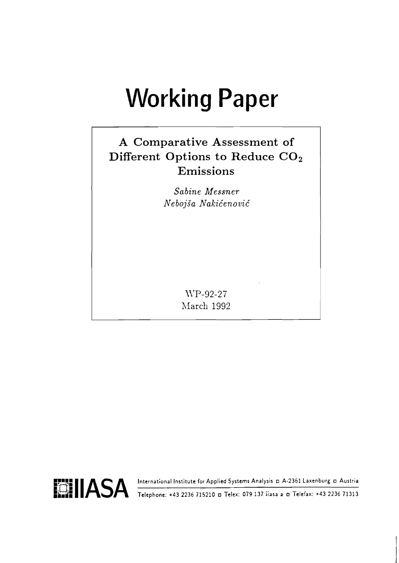# **Working Paper**

# A Comparative Assessment of Different Options to Reduce CO<sub>2</sub> Emissions

Sabine Messner Nebojša Nakićenović

> WP-92-27 March 1992

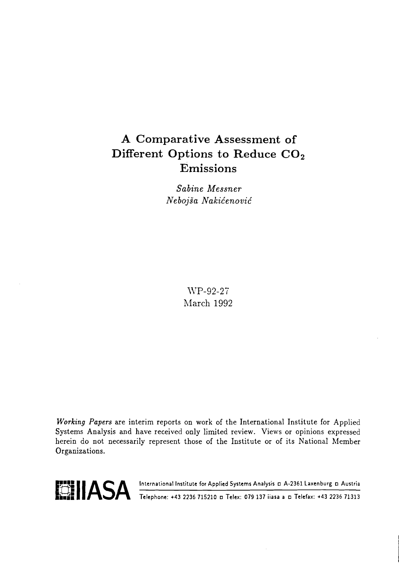## A Comparative Assessment of Different Options to Reduce CO<sub>2</sub> Emissions

Sabine Messner Nebojša Nakićenović

> WP-92-27 March 1992

Working Papers are interim reports on work of the International Institute for Applied Systems Analysis and have received only limited review. Views or opinions expressed herein do not necessarily represent those of the Institute or of its National Member Organizations.

Telephone: +43 2236 715210 a Telex: 079 137 iiasa a a Telefax: +43 2236 71313 International Institute for Applied Systems Analysis D A-2361 Laxenburg D Austria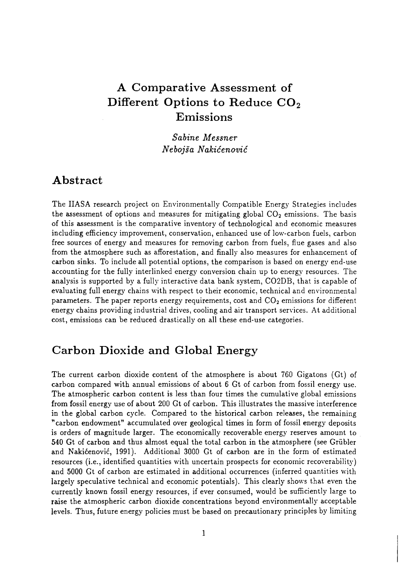## **A Comparative Assessment of Different Options to Reduce C02 Emissions**

*Sabine Messner Ne bojia Nakic'enovic'* 

#### **Abstract**

The **IIASA** research project on Environmentally Compatible Energy Strategies includes the assessment of options and measures for mitigating global  $CO<sub>2</sub>$  emissions. The basis of this assessment is the comparative inventory of technological and economic measures including efficiency improvement, conservation, enhanced use of low-carbon fuels, carbon free sources of energy and measures for removing carbon from fuels, flue gases and also from the atmosphere such as afforestation, and finally also measures for enhancement of carbon sinks. To include all potential options, the comparison is based on energy end-use accounting for the fully interlinked energy conversion chain up to energy resources. The analysis is supported by a fully interactive data bank system, C02DB, that is capable of evaluating full energy chains with respect to their economic, technical and environmental parameters. The paper reports energy requirements, cost and  $CO<sub>2</sub>$  emissions for different energy chains providing industrial drives, cooling and air transport services. At additional cost, emissions can be reduced drastically on all these end-use categories.

## **Carbon Dioxide and Global Energy**

The current carbon dioxide content of the atmosphere is about 760 Gigatons (Gt) of carbon compared with annual emissions of about 6 Gt of carbon from fossil energy use. The atmospheric carbon content is less than four times the cumulative global emissions from fossil energy use of about 200 Gt of carbon. This illustrates the massive interference in the global carbon cycle. Compared to the historical carbon releases, the remaining "carbon endowment" accumulated over geological times in form of fossil energy deposits is orders of magnitude larger. The economically recoverable energy reserves amount to 540 Gt of carbon and thus almost equal the total carbon in the atmosphere (see Griibler and Nakićenović, 1991). Additional 3000 Gt of carbon are in the form of estimated resources (i.e., identified quantities with uncertain prospects for economic recoverability) and 5000 Gt of carbon are estimated in additional occurrences (inferred quantities with largely speculative technical and economic potentials). This clearly shows that even the currently known fossil energy resources, if ever consumed, would be sufficiently large to raise the atmospheric carbon dioxide concentrations beyond environmentally acceptable levels. Thus, future energy policies must be based on precautionary principles by limiting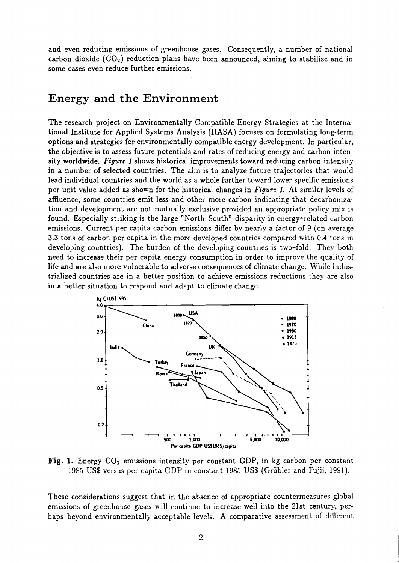and even reducing emissions of greenhouse gases. Consequently, a number of national carbon dioxide  $(CO<sub>2</sub>)$  reduction plans have been announced, aiming to stabilize and in some cases even reduce further emissions.

#### Energy and the Environment

The research project on Environmentally Compatible Energy Strategies at the International Institute for Applied Systems Analysis (IIASA) focuses on formulating long-term options and strategies for environmentally compatible energy development. In particular, the objective is to assess future potentials and rates of reducing energy and carbon intensity worldwide. Figure 1 shows historical improvements toward reducing carbon intensity in a number of selected countries. The aim is to analyze future trajectories that would lead individual countries and the world as a whole further toward lower specific emissions per unit value added as shown for the historical changes in Figure 1. At similar levels of affluence, some countries emit less and other more carbon indicating that decarbonization and development are not mutually exclusive provided an appropriate policy mix is found. Especially striking is the large "North-South" disparity in energy-related carbon emissions. Current per capita carbon emissions differ by nearly a factor of 9 (on average 3.3 tons of carbon per capita in the more developed countries compared with 0.4 tons in developing countries). The burden of the developing countries is two-fold. They both need to increase their per capita energy consumption in order to improve the quality of life and are also more vulnerable to adverse consequences of climate change. While industrialized countries are in a better position to achieve emissions reductions they are also in a better situation to respond and adapt to climate change.



Fig. 1. Energy CO<sub>2</sub> emissions intensity per constant GDP, in kg carbon per constant 1985 US\$ versus per capita GDP in constant 1985 US\$ (Grübler and Fujii, 1991).

These considerations suggest that in the absence of appropriate countermeasures global emissions of greenhouse gases will continue to increase well into the 21st century, perhaps beyond environmentally acceptable levels. A comparative assessment of different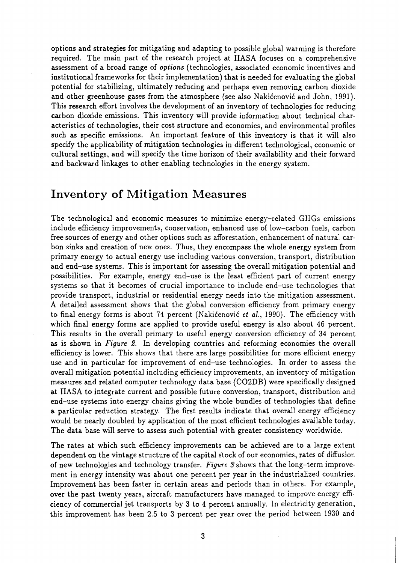options and strategies for mitigating and adapting to possible global warming is therefore required. The main part of the research project at IIASA focuses on a comprehensive assessment of a broad range of *options* (technologies, associated economic incentives and institutional frameworks for their implementation) that is needed for evaluating the global potential for stabilizing, ultimately reducing and perhaps even removing carbon dioxide and other greenhouse gases from the atmosphere (see also Nakićenović and John, 1991). This research effort involves the development of an inventory of technologies for reducing carbon dioxide emissions. This inventory will provide information about technical characteristics of technologies, their cost structure and economies, and environmental profiles such **as** specific emissions. An important feature of this inventory is that it will also specify the applicability of mitigation technologies in different technological, economic or cultural settings, and will specify the time horizon of their availability and their forward and backward linkages to other enabling technologies in the energy system.

#### **Inventory of Mitigation Measures**

The technological and economic measures to minimize energy-related GHGs emissions include efficiency improvements, conservation, enhanced use of low-carbon fuels, carbon free sources of energy and other options such as afforestation, enhancement of natural carbon sinks and creation of new ones. Thus, they encompass the whole energy system from primary energy to actual energy use including various conversion, transport, distribution and end-use systems. This is important for assessing the overall mitigation potential and possibilities. For example, energy end-use is the least efficient part of current energy systems so that it becomes of crucial importance to include end-use technologies that provide transport, industrial or residential energy needs into the mitigation assessment. A detailed assessment shows that the global conversion efficiency from primary energy to final energy forms is about **74** percent (Nakidenovid *et* al., 1990). The efficiency with which final energy forms are applied to provide useful energy is also about 46 percent. This results in the overall primary to useful energy conversion efficiency of **34** percent **as** is shown in *Figure 2.* In developing countries and reforming economies the overall efficiency is lower. This shows that there are large possibilities for more efficient energy use and in particular for improvement of end-use technologies. In order to assess the overall mitigation potential including efficiency improvements, an inventory of mitigation measures and related computer technology data base (C02DB) were specifically designed at IIASA to integrate current and possible future conversion, transport, distribution and end-use systems into energy chains giving the whole bundles of technologies that define a particular reduction strategy. The first results indicate that overall energy efficiency would be nearly doubled by application of the most efficient technologies available today. The data base will serve to assess such potential with greater consistency worldwide.

The rates at which such efficiency improvements can be achieved are to a large extent dependent on the vintage structure of the capital stock of our economies, rates of diffusion of new technologies and technology transfer. *Figure 3* shows that the long-term improvement in energy intensity was about one percent per year in the industrialized countries. Improvement has been faster in certain areas and periods than in others. For example, over the past twenty years, aircraft manufacturers have managed to improve energy efficiency of commercial jet transports by **3** to 4 percent annually. In electricity generation, this improvement has been 2.5 to **3** percent per year over the period between 1930 and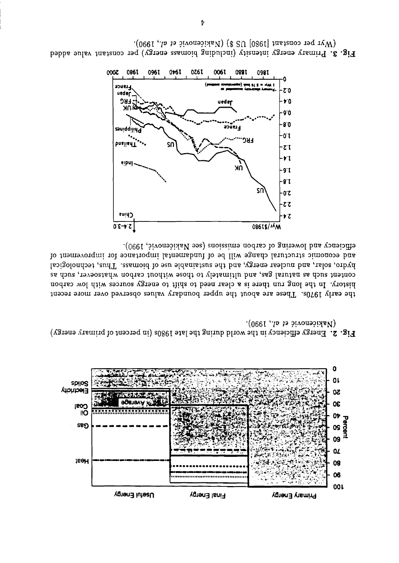

 $(Na)$  (Nakićenović et al., 1990). Fig. 2. Energy efficiency in the world during the late 1980s (in percent of primary energy)

and economic structural change will be of fundamental importance for improvement of hydro, solar, and nuclear energy, and the sustainable use of biomass. Thus, technological content such as natural gas, and ultimately to those without carbon whatsoever, such as history. In the long run there is a clear need to shift to energy sources with low carbon the early 1970s. These are about the upper boundary values observed over more recent





(Wyr per constant [1980] US \$) (Nakićenović et al., 1990). Fig. 3. Primary energy intensity (including biomass energy) per constant value added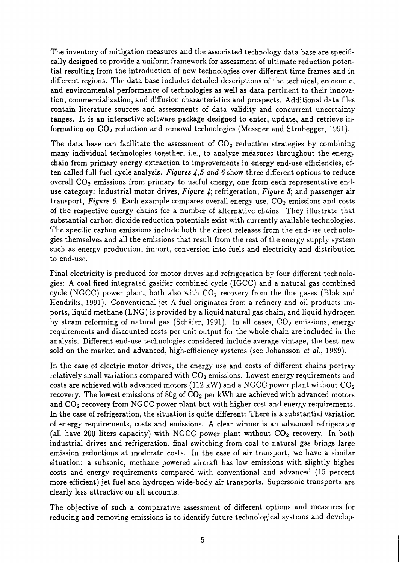The inventory of mitigation measures and the associated technology data base are specifically designed to provide a uniform framework for assessment of ultimate reduction potential resulting from the introduction of new technologies over different time frames and in different regions. The data base includes detailed descriptions of the technical, economic, and environmental performance of technologies as well **as** data pertinent to their innovation, commercialization, and diffusion characteristics and prospects. Additional data files contain literature sources and assessments of data validity and concurrent uncertainty ranges. It is an interactive software package designed to enter, update, and retrieve information on  $CO<sub>2</sub>$  reduction and removal technologies (Messner and Strubegger, 1991).

The data base can facilitate the assessment of  $CO<sub>2</sub>$  reduction strategies by combining many individual technologies together, i.e., to analyze measures throughout the energy chain from primary energy extraction to improvements in energy end-use efficiencies, often called full-fuel-cycle analysis. *Figures* 4,5 **and** *6* show three different options to reduce overall  $CO<sub>2</sub>$  emissions from primary to useful energy, one from each representative enduse category: industrial motor drives, *Figure* 4; refrigeration, *Figure* 5; and passenger air transport, *Figure 6*. Each example compares overall energy use, CO<sub>2</sub> emissions and costs of the respective energy chains for a number of alternative chains. They illustrate that substantial carbon dioxide reduction potentials exist with currently available technologies. The specific carbon emissions include both the direct releases from the end-use technologies themselves and all the emissions that result from the rest of the energy supply system such as energy production, import, conversion into fuels and electricity and distribution to end-use.

Final electricity is produced for motor drives and refrigeration by four different technologies: A coal fired integrated gasifier combined cycle (IGCC) and a natural gas combined cycle (NGCC) power plant, both also with  $CO<sub>2</sub>$  recovery from the flue gases (Blok and Hendriks, 1991). Conventional jet **A** fuel originates from a refinery and oil products imports, liquid methane (LNG) is provided by a liquid natural gas chain, and liquid hydrogen by steam reforming of natural gas (Schäfer, 1991). In all cases,  $CO<sub>2</sub>$  emissions, energy requirements and discounted costs per unit output for the whole chain are included in the analysis. Different end-use technologies considered include average vintage, the best new sold on the market and advanced, high-efficiency systems (see Johansson et al., 1989).

In the case of electric motor drives, the energy use and costs of different chains portray relatively small variations compared with  $CO<sub>2</sub>$  emissions. Lowest energy requirements and costs are achieved with advanced motors (112 kW) and a NGCC power plant without  $CO<sub>2</sub>$ recovery. The lowest emissions of 80g of  $CO<sub>2</sub>$  per kWh are achieved with advanced motors and CO<sub>2</sub> recovery from NGCC power plant but with higher cost and energy requirements. In the case of refrigeration, the situation is quite different: There is a substantial variation of energy requirements, costs and emissions. **A** clear winner is an advanced refrigerator (all have 200 liters capacity) with NGCC power plant without  $CO<sub>2</sub>$  recovery. In both industrial drives and refrigeration, final switching from coal to natural gas brings large emission reductions at moderate costs. In the case of air transport, we have a similar situation: a subsonic, methane powered aircraft has low emissions with slightly higher costs and energy requirements compared with conventional and advanced (15 percent more efficient) jet fuel and hydrogen wide-body air transports. Supersonic transports are clearly less attractive on all accounts.

The objective of such a comparative assessment of different options and measures for reducing and removing emissions is to identify future technological systems and develop-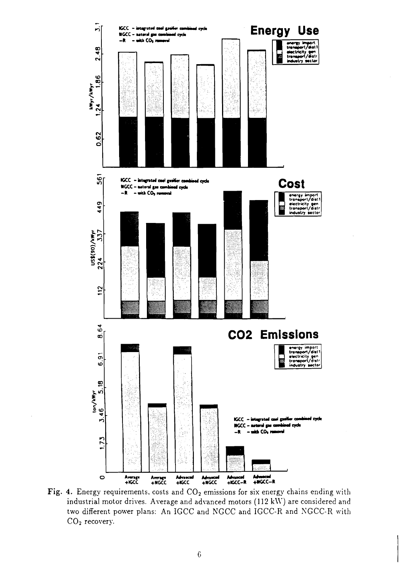

Fig. 4. Energy requirements, costs and  $CO<sub>2</sub>$  emissions for six energy chains ending with industrial motor drives. Average and advanced motors (1 12 **k\\')** are considered and two different power plans: An IGCC and NGCC and IGCC-R and NGCC-R with CO<sub>2</sub> recovery.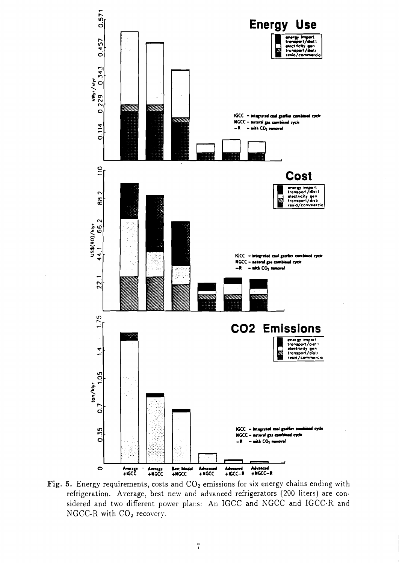

Fig. 5. Energy requirements, costs and CO<sub>2</sub> emissions for six energy chains ending with refrigeration. Average, best new and advanced refrigerators (200 liters) are considered and two different power plans: An IGCC and NGCC and IGCC-R and NGCC-R with CO<sub>2</sub> recovery.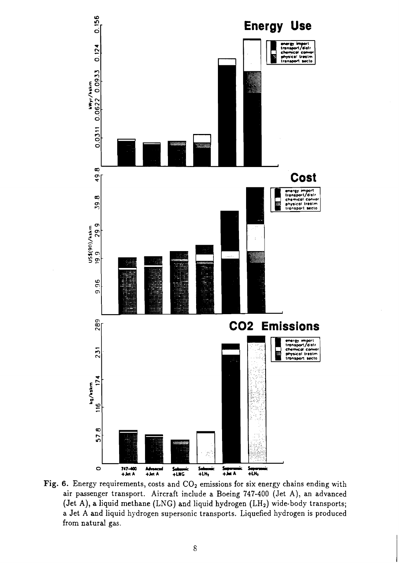

Fig. 6. Energy requirements, costs and CO<sub>2</sub> emissions for six energy chains ending with air passenger transport. Aircraft include a Boeing 747-400 (Jet A), an advanced (Jet A), a liquid methane (LNG) and liquid hydrogen (LH<sub>2</sub>) wide-body transports; a Jet A and liquid hydrogen supersonic transports. Liquefied hydrogen is produced from natural gas.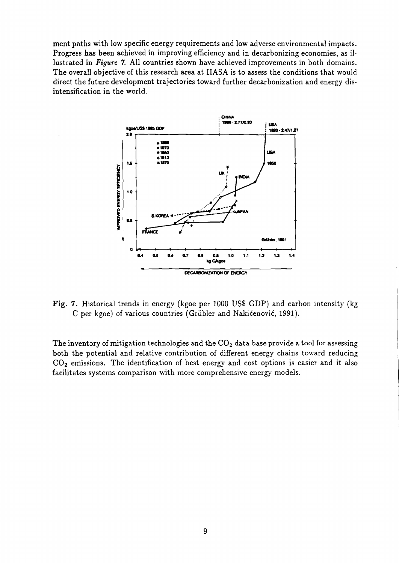ment paths with low specific energy requirements and low adverse environmental impacts. Progress has been achieved in improving efficiency and in decarbonizing economies, as illustrated in *Figure* 7. All countries shown have achieved improvements in both domains. The overall objective of this research area at IIASA is to assess the conditions that would direct the future development trajectories toward further decarbonization and energy disintensification in the world.



Fig. 7. Historical trends in energy (kgoe per 1000 US\$ GDP) and carbon intensity (kg C per kgoe) of various countries (Grübler and Nakićenović, 1991).

The inventory of mitigation technologies and the  $CO<sub>2</sub>$  data base provide a tool for assessing both the potential and relative contribution of different energy chains toward reducing  $CO<sub>2</sub>$  emissions. The identification of best energy and cost options is easier and it also facilitates systems comparison with more comprehensive energy models.